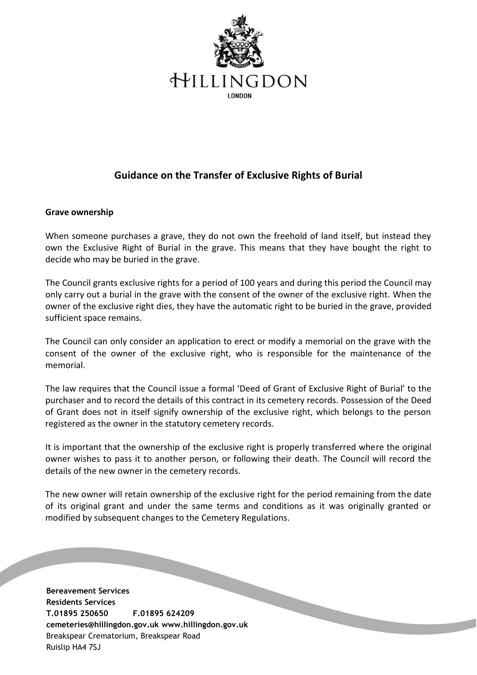

## **Guidance on the Transfer of Exclusive Rights of Burial**

## **Grave ownership**

When someone purchases a grave, they do not own the freehold of land itself, but instead they own the Exclusive Right of Burial in the grave. This means that they have bought the right to decide who may be buried in the grave.

The Council grants exclusive rights for a period of 100 years and during this period the Council may only carry out a burial in the grave with the consent of the owner of the exclusive right. When the owner of the exclusive right dies, they have the automatic right to be buried in the grave, provided sufficient space remains.

The Council can only consider an application to erect or modify a memorial on the grave with the consent of the owner of the exclusive right, who is responsible for the maintenance of the memorial.

The law requires that the Council issue a formal 'Deed of Grant of Exclusive Right of Burial' to the purchaser and to record the details of this contract in its cemetery records. Possession of the Deed of Grant does not in itself signify ownership of the exclusive right, which belongs to the person registered as the owner in the statutory cemetery records.

It is important that the ownership of the exclusive right is properly transferred where the original owner wishes to pass it to another person, or following their death. The Council will record the details of the new owner in the cemetery records.

The new owner will retain ownership of the exclusive right for the period remaining from the date of its original grant and under the same terms and conditions as it was originally granted or modified by subsequent changes to the Cemetery Regulations.

**Bereavement Services Residents Services T.01895 250650 F.01895 624209 cemeteries@hillingdon.gov.uk www.hillingdon.gov.uk** Breakspear Crematorium, Breakspear Road Ruislip HA4 7SJ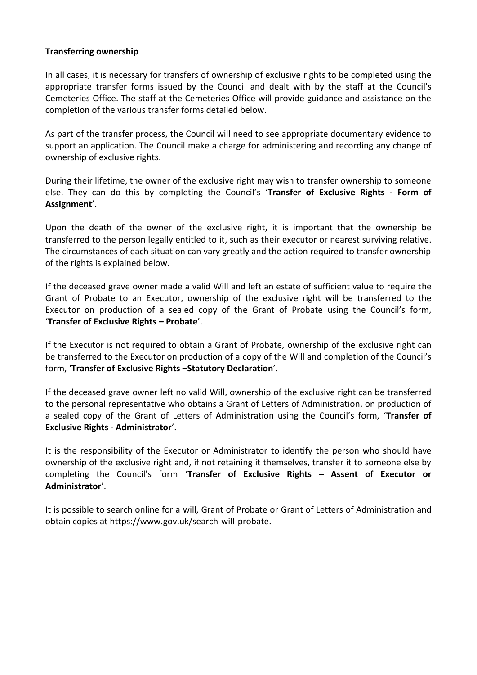## **Transferring ownership**

In all cases, it is necessary for transfers of ownership of exclusive rights to be completed using the appropriate transfer forms issued by the Council and dealt with by the staff at the Council's Cemeteries Office. The staff at the Cemeteries Office will provide guidance and assistance on the completion of the various transfer forms detailed below.

As part of the transfer process, the Council will need to see appropriate documentary evidence to support an application. The Council make a charge for administering and recording any change of ownership of exclusive rights.

During their lifetime, the owner of the exclusive right may wish to transfer ownership to someone else. They can do this by completing the Council's '**Transfer of Exclusive Rights - Form of Assignment**'.

Upon the death of the owner of the exclusive right, it is important that the ownership be transferred to the person legally entitled to it, such as their executor or nearest surviving relative. The circumstances of each situation can vary greatly and the action required to transfer ownership of the rights is explained below.

If the deceased grave owner made a valid Will and left an estate of sufficient value to require the Grant of Probate to an Executor, ownership of the exclusive right will be transferred to the Executor on production of a sealed copy of the Grant of Probate using the Council's form, '**Transfer of Exclusive Rights – Probate**'.

If the Executor is not required to obtain a Grant of Probate, ownership of the exclusive right can be transferred to the Executor on production of a copy of the Will and completion of the Council's form, '**Transfer of Exclusive Rights –Statutory Declaration**'.

If the deceased grave owner left no valid Will, ownership of the exclusive right can be transferred to the personal representative who obtains a Grant of Letters of Administration, on production of a sealed copy of the Grant of Letters of Administration using the Council's form, '**Transfer of Exclusive Rights - Administrator**'.

It is the responsibility of the Executor or Administrator to identify the person who should have ownership of the exclusive right and, if not retaining it themselves, transfer it to someone else by completing the Council's form '**Transfer of Exclusive Rights – Assent of Executor or Administrator**'.

It is possible to search online for a will, Grant of Probate or Grant of Letters of Administration and obtain copies at [https://www.gov.uk/search-will-probate.](https://www.gov.uk/search-will-probate)